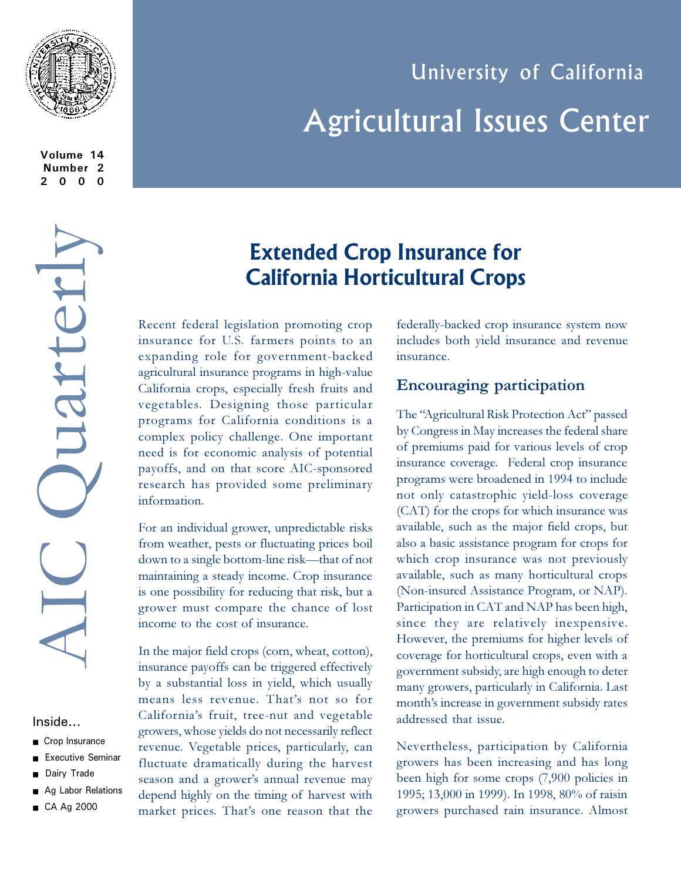

**Volume 14 Number 2 2000**

# AIC Quarterly Juarterl IC

#### Inside...

- Crop Insurance
- **Executive Seminar**
- Dairy Trade
- Ag Labor Relations
- CA Ag 2000

# University of California Agricultural Issues Center

# **Extended Crop Insurance for California Horticultural Crops**

Recent federal legislation promoting crop insurance for U.S. farmers points to an expanding role for government-backed agricultural insurance programs in high-value California crops, especially fresh fruits and vegetables. Designing those particular programs for California conditions is a complex policy challenge. One important need is for economic analysis of potential payoffs, and on that score AIC-sponsored research has provided some preliminary information.

For an individual grower, unpredictable risks from weather, pests or fluctuating prices boil down to a single bottom-line risk—that of not maintaining a steady income. Crop insurance is one possibility for reducing that risk, but a grower must compare the chance of lost income to the cost of insurance.

In the major field crops (corn, wheat, cotton), insurance payoffs can be triggered effectively by a substantial loss in yield, which usually means less revenue. That's not so for California's fruit, tree-nut and vegetable growers, whose yields do not necessarily reflect revenue. Vegetable prices, particularly, can fluctuate dramatically during the harvest season and a grower's annual revenue may depend highly on the timing of harvest with market prices. That's one reason that the

federally-backed crop insurance system now includes both yield insurance and revenue insurance.

#### **Encouraging participation**

The "Agricultural Risk Protection Act" passed by Congress in May increases the federal share of premiums paid for various levels of crop insurance coverage. Federal crop insurance programs were broadened in 1994 to include not only catastrophic yield-loss coverage (CAT) for the crops for which insurance was available, such as the major field crops, but also a basic assistance program for crops for which crop insurance was not previously available, such as many horticultural crops (Non-insured Assistance Program, or NAP). Participation in CAT and NAP has been high, since they are relatively inexpensive. However, the premiums for higher levels of coverage for horticultural crops, even with a government subsidy, are high enough to deter many growers, particularly in California. Last month's increase in government subsidy rates addressed that issue.

Nevertheless, participation by California growers has been increasing and has long been high for some crops (7,900 policies in 1995; 13,000 in 1999). In 1998, 80% of raisin growers purchased rain insurance. Almost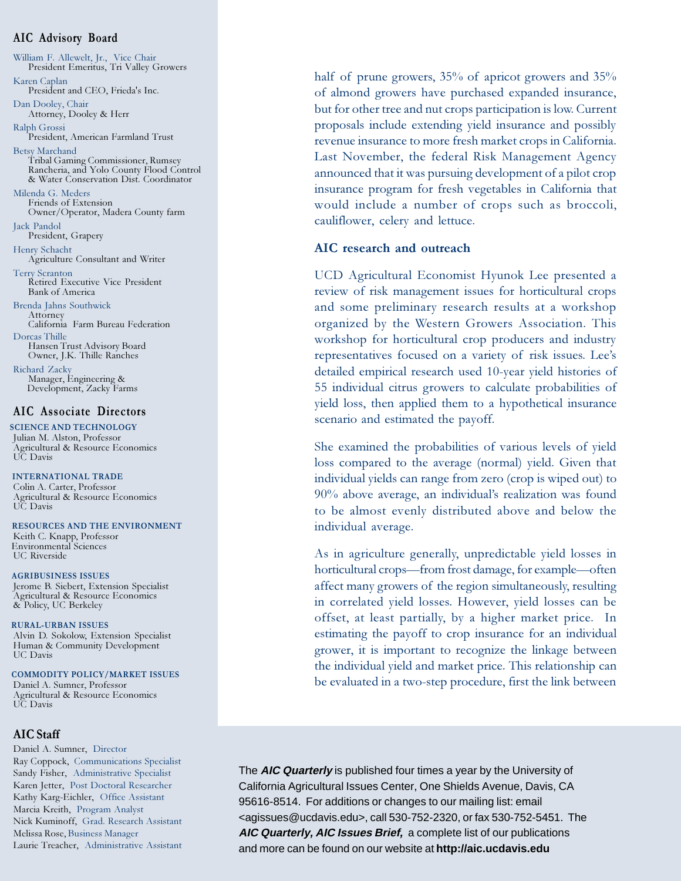#### **AIC Advisory Board**

William F. Allewelt, Jr., Vice Chair President Emeritus, Tri Valley Growers Karen Caplan President and CEO, Frieda's Inc. Dan Dooley, Chair Attorney, Dooley & Herr Ralph Grossi President, American Farmland Trust Betsy Marchand Tribal Gaming Commissioner, Rumsey Rancheria, and Yolo County Flood Control & Water Conservation Dist. Coordinator Milenda G. Meders Friends of Extension Owner/Operator, Madera County farm Jack Pandol President, Grapery Henry Schacht Agriculture Consultant and Writer Terry Scranton Retired Executive Vice President Bank of America Brenda Jahns Southwick Attorney California Farm Bureau Federation Dorcas Thille Hansen Trust Advisory Board Owner, J.K. Thille Ranches Richard Zacky Manager, Engineering & Development, Zacky Farms

#### **AIC Associate Directors**

 **SCIENCE AND TECHNOLOGY** Julian M. Alston, Professor Agricultural & Resource Economics UC Davis

 **INTERNATIONAL TRADE** Colin A. Carter, Professor Agricultural & Resource Economics UC Davis

 **RESOURCES AND THE ENVIRONMENT** Keith C. Knapp, Professor Environmental Sciences UC Riverside

 **AGRIBUSINESS ISSUES** Jerome B. Siebert, Extension Specialist Agricultural & Resource Economics & Policy, UC Berkeley

 **RURAL-URBAN ISSUES** Alvin D. Sokolow, Extension Specialist Human & Community Development UC Davis

**COMMODITY POLICY/MARKET ISSUES** Daniel A. Sumner, Professor Agricultural & Resource Economics UC Davis

#### **AIC Staff**

Daniel A. Sumner, Director Ray Coppock, Communications Specialist Sandy Fisher, Administrative Specialist Karen Jetter, Post Doctoral Researcher Kathy Karg-Eichler, Office Assistant Marcia Kreith, Program Analyst Nick Kuminoff, Grad. Research Assistant Melissa Rose, Business Manager Laurie Treacher, Administrative Assistant

half of prune growers, 35% of apricot growers and 35% of almond growers have purchased expanded insurance, but for other tree and nut crops participation is low. Current proposals include extending yield insurance and possibly revenue insurance to more fresh market crops in California. Last November, the federal Risk Management Agency announced that it was pursuing development of a pilot crop insurance program for fresh vegetables in California that would include a number of crops such as broccoli, cauliflower, celery and lettuce.

#### **AIC research and outreach**

UCD Agricultural Economist Hyunok Lee presented a review of risk management issues for horticultural crops and some preliminary research results at a workshop organized by the Western Growers Association. This workshop for horticultural crop producers and industry representatives focused on a variety of risk issues. Lee's detailed empirical research used 10-year yield histories of 55 individual citrus growers to calculate probabilities of yield loss, then applied them to a hypothetical insurance scenario and estimated the payoff.

She examined the probabilities of various levels of yield loss compared to the average (normal) yield. Given that individual yields can range from zero (crop is wiped out) to 90% above average, an individual's realization was found to be almost evenly distributed above and below the individual average.

As in agriculture generally, unpredictable yield losses in horticultural crops—from frost damage, for example—often affect many growers of the region simultaneously, resulting in correlated yield losses. However, yield losses can be offset, at least partially, by a higher market price. In estimating the payoff to crop insurance for an individual grower, it is important to recognize the linkage between the individual yield and market price. This relationship can be evaluated in a two-step procedure, first the link between

The **AIC Quarterly** is published four times a year by the University of California Agricultural Issues Center, One Shields Avenue, Davis, CA 95616-8514. For additions or changes to our mailing list: email <agissues@ucdavis.edu>, call 530-752-2320, or fax 530-752-5451. The **AIC Quarterly, AIC Issues Brief,** a complete list of our publications and more can be found on our website at **http://aic.ucdavis.edu**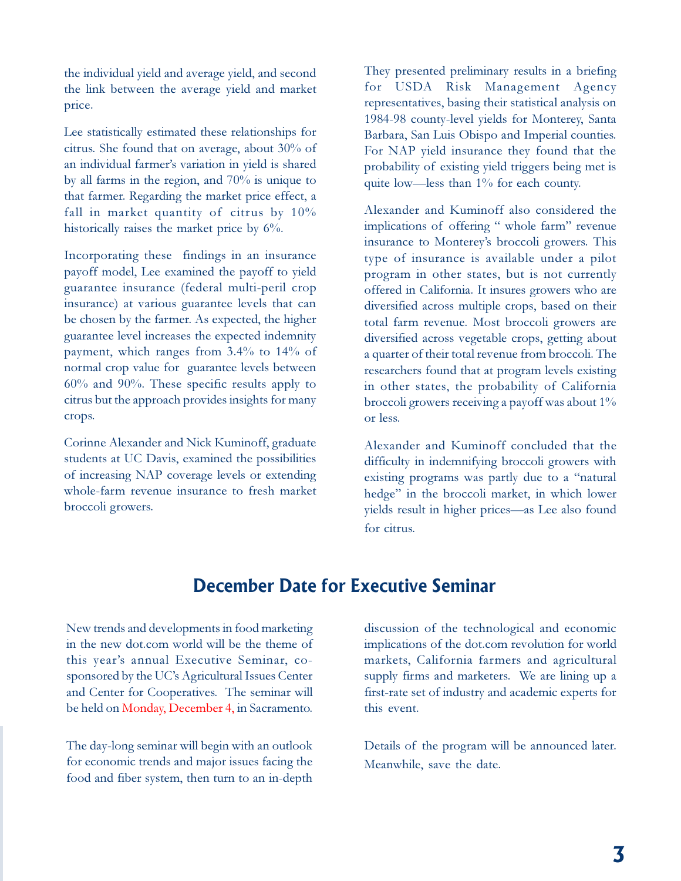the individual yield and average yield, and second the link between the average yield and market price.

Lee statistically estimated these relationships for citrus. She found that on average, about 30% of an individual farmer's variation in yield is shared by all farms in the region, and 70% is unique to that farmer. Regarding the market price effect, a fall in market quantity of citrus by  $10\%$ historically raises the market price by 6%.

Incorporating these findings in an insurance payoff model, Lee examined the payoff to yield guarantee insurance (federal multi-peril crop insurance) at various guarantee levels that can be chosen by the farmer. As expected, the higher guarantee level increases the expected indemnity payment, which ranges from 3.4% to 14% of normal crop value for guarantee levels between 60% and 90%. These specific results apply to citrus but the approach provides insights for many crops.

Corinne Alexander and Nick Kuminoff, graduate students at UC Davis, examined the possibilities of increasing NAP coverage levels or extending whole-farm revenue insurance to fresh market broccoli growers.

They presented preliminary results in a briefing for USDA Risk Management Agency representatives, basing their statistical analysis on 1984-98 county-level yields for Monterey, Santa Barbara, San Luis Obispo and Imperial counties. For NAP yield insurance they found that the probability of existing yield triggers being met is quite low-less than 1% for each county.

Alexander and Kuminoff also considered the implications of offering " whole farm" revenue insurance to Monterey's broccoli growers. This type of insurance is available under a pilot program in other states, but is not currently offered in California. It insures growers who are diversified across multiple crops, based on their total farm revenue. Most broccoli growers are diversified across vegetable crops, getting about a quarter of their total revenue from broccoli. The researchers found that at program levels existing in other states, the probability of California broccoli growers receiving a payoff was about 1% or less.

Alexander and Kuminoff concluded that the difficulty in indemnifying broccoli growers with existing programs was partly due to a "natural" hedge" in the broccoli market, in which lower yields result in higher prices—as Lee also found for citrus.

## **December Date for Executive Seminar**

New trends and developments in food marketing in the new dot.com world will be the theme of this year's annual Executive Seminar, cosponsored by the UC's Agricultural Issues Center and Center for Cooperatives. The seminar will be held on Monday, December 4, in Sacramento.

The day-long seminar will begin with an outlook for economic trends and major issues facing the food and fiber system, then turn to an in-depth discussion of the technological and economic implications of the dot.com revolution for world markets, California farmers and agricultural supply firms and marketers. We are lining up a first-rate set of industry and academic experts for this event.

Details of the program will be announced later. Meanwhile, save the date.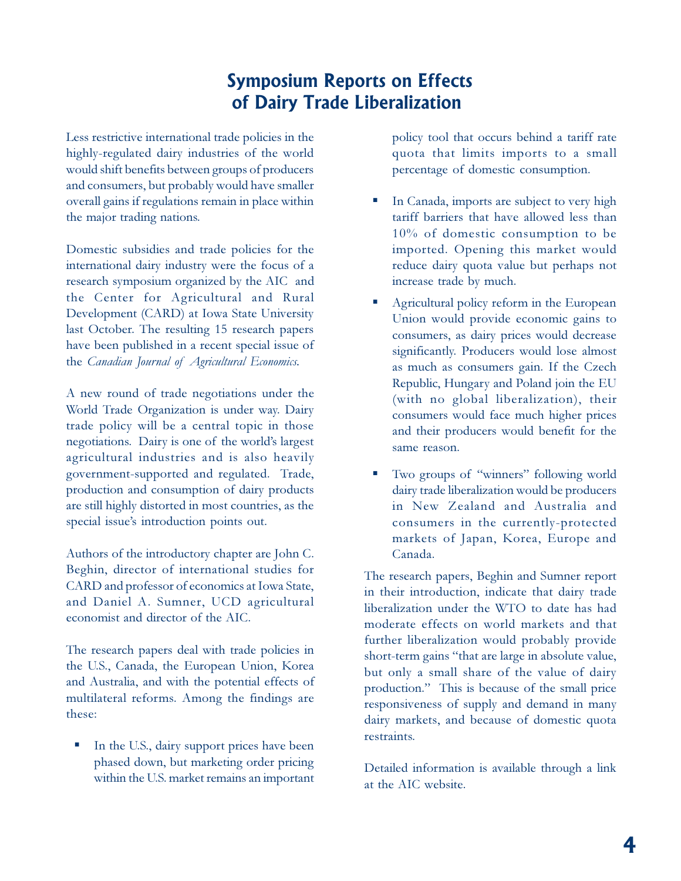# **Symposium Reports on Effects of Dairy Trade Liberalization**

Less restrictive international trade policies in the highly-regulated dairy industries of the world would shift benefits between groups of producers and consumers, but probably would have smaller overall gains if regulations remain in place within the major trading nations.

Domestic subsidies and trade policies for the international dairy industry were the focus of a research symposium organized by the AIC and the Center for Agricultural and Rural Development (CARD) at Iowa State University last October. The resulting 15 research papers have been published in a recent special issue of the *Canadian Journal of Agricultural Economics.*

A new round of trade negotiations under the World Trade Organization is under way. Dairy trade policy will be a central topic in those negotiations. Dairy is one of the world's largest agricultural industries and is also heavily government-supported and regulated. Trade, production and consumption of dairy products are still highly distorted in most countries, as the special issue's introduction points out.

Authors of the introductory chapter are John C. Beghin, director of international studies for CARD and professor of economics at Iowa State, and Daniel A. Sumner, UCD agricultural economist and director of the AIC.

The research papers deal with trade policies in the U.S., Canada, the European Union, Korea and Australia, and with the potential effects of multilateral reforms. Among the findings are these:

In the U.S., dairy support prices have been phased down, but marketing order pricing within the U.S. market remains an important policy tool that occurs behind a tariff rate quota that limits imports to a small percentage of domestic consumption.

- In Canada, imports are subject to very high tariff barriers that have allowed less than 10% of domestic consumption to be imported. Opening this market would reduce dairy quota value but perhaps not increase trade by much.
- Agricultural policy reform in the European Union would provide economic gains to consumers, as dairy prices would decrease significantly. Producers would lose almost as much as consumers gain. If the Czech Republic, Hungary and Poland join the EU (with no global liberalization), their consumers would face much higher prices and their producers would benefit for the same reason.
- Two groups of "winners" following world dairy trade liberalization would be producers in New Zealand and Australia and consumers in the currently-protected markets of Japan, Korea, Europe and Canada.

The research papers, Beghin and Sumner report in their introduction, indicate that dairy trade liberalization under the WTO to date has had moderate effects on world markets and that further liberalization would probably provide short-term gains "that are large in absolute value, but only a small share of the value of dairy production." This is because of the small price responsiveness of supply and demand in many dairy markets, and because of domestic quota restraints.

Detailed information is available through a link at the AIC website.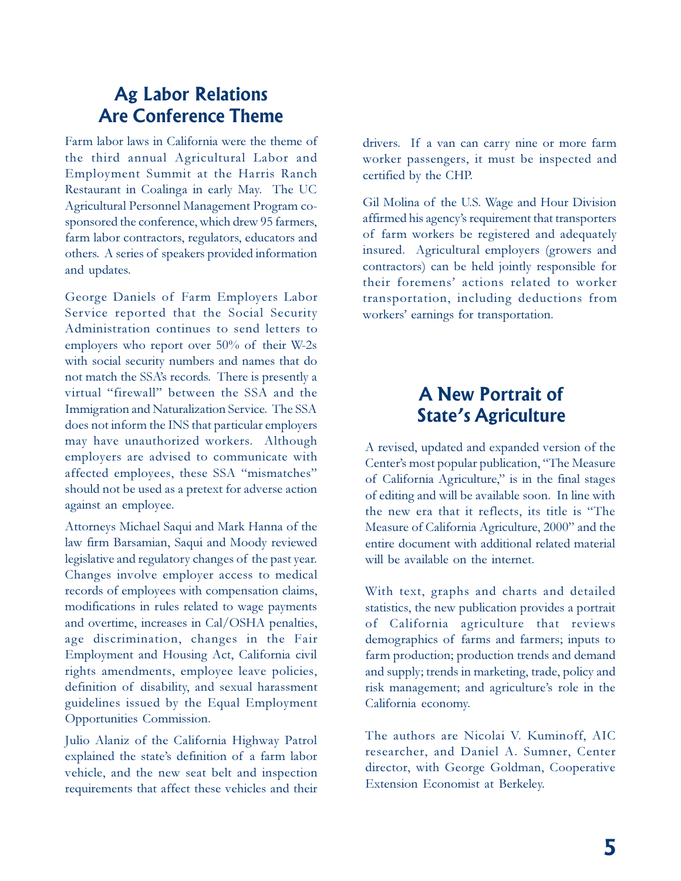## **Ag Labor Relations Are Conference Theme**

Farm labor laws in California were the theme of the third annual Agricultural Labor and Employment Summit at the Harris Ranch Restaurant in Coalinga in early May. The UC Agricultural Personnel Management Program cosponsored the conference, which drew 95 farmers, farm labor contractors, regulators, educators and others. A series of speakers provided information and updates.

George Daniels of Farm Employers Labor Service reported that the Social Security Administration continues to send letters to employers who report over 50% of their W-2s with social security numbers and names that do not match the SSAs records. There is presently a virtual "firewall" between the SSA and the Immigration and Naturalization Service. The SSA does not inform the INS that particular employers may have unauthorized workers. Although employers are advised to communicate with affected employees, these SSA "mismatches" should not be used as a pretext for adverse action against an employee.

Attorneys Michael Saqui and Mark Hanna of the law firm Barsamian, Saqui and Moody reviewed legislative and regulatory changes of the past year. Changes involve employer access to medical records of employees with compensation claims, modifications in rules related to wage payments and overtime, increases in Cal/OSHA penalties, age discrimination, changes in the Fair Employment and Housing Act, California civil rights amendments, employee leave policies, definition of disability, and sexual harassment guidelines issued by the Equal Employment Opportunities Commission.

Julio Alaniz of the California Highway Patrol explained the state's definition of a farm labor vehicle, and the new seat belt and inspection requirements that affect these vehicles and their drivers. If a van can carry nine or more farm worker passengers, it must be inspected and certified by the CHP.

Gil Molina of the U.S. Wage and Hour Division affirmed his agency's requirement that transporters of farm workers be registered and adequately insured. Agricultural employers (growers and contractors) can be held jointly responsible for their foremens' actions related to worker transportation, including deductions from workers' earnings for transportation.

# **A New Portrait of State's Agriculture**

A revised, updated and expanded version of the Center's most popular publication, "The Measure of California Agriculture," is in the final stages of editing and will be available soon. In line with the new era that it reflects, its title is "The Measure of California Agriculture, 2000" and the entire document with additional related material will be available on the internet.

With text, graphs and charts and detailed statistics, the new publication provides a portrait of California agriculture that reviews demographics of farms and farmers; inputs to farm production; production trends and demand and supply; trends in marketing, trade, policy and risk management; and agriculture's role in the California economy.

The authors are Nicolai V. Kuminoff, AIC researcher, and Daniel A. Sumner, Center director, with George Goldman, Cooperative Extension Economist at Berkeley.